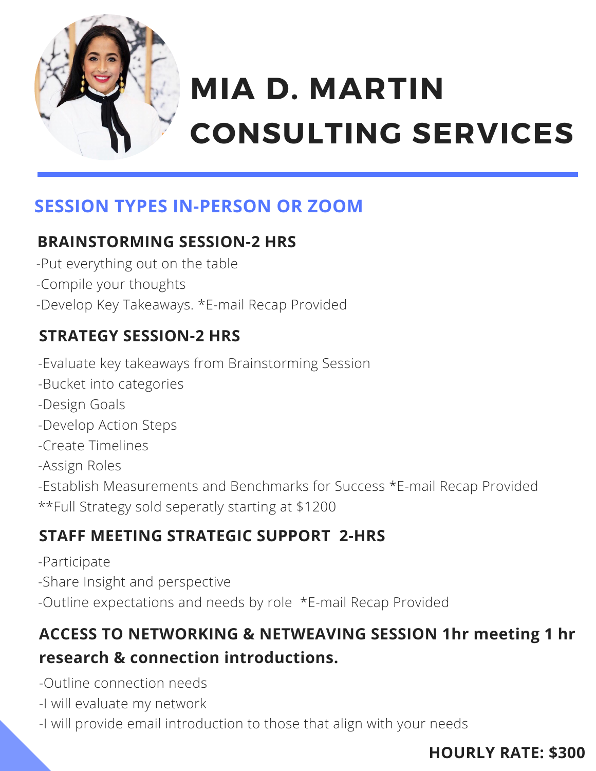

# **CONSULTING SERVICES MIA D. MARTIN**

# **SESSION TYPES IN-PERSON OR ZOOM**

### **BRAINSTORMING SESSION-2 HRS**

- -Put everything out on the table
- -Compile your thoughts
- -Develop Key Takeaways. \*E-mail Recap Provided

# **STRATEGY SESSION-2 HRS**

- -Evaluate key takeaways from Brainstorming Session
- -Bucket into categories
- -Design Goals
- -Develop Action Steps
- -Create Timelines
- -Assign Roles
- -Establish Measurements and Benchmarks for Success \*E-mail Recap Provided \*\*Full Strategy sold seperatly starting at \$1200

### **STAFF MEETING STRATEGIC SUPPORT 2-HRS**

- -Participate
- -Share Insight and perspective
- -Outline expectations and needs by role \*E-mail Recap Provided

# **ACCESS TO NETWORKING & NETWEAVING SESSION 1hr meeting 1 hr research & connection introductions.**

- -Outline connection needs
- -I will evaluate my network
- -I will provide email introduction to those that align with your needs

### **HOURLY RATE: \$300**